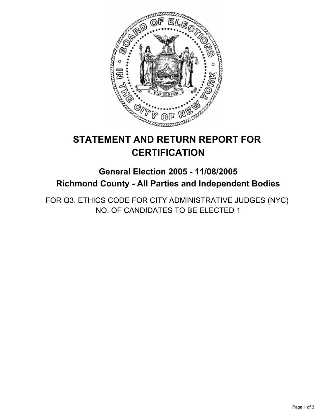

# **STATEMENT AND RETURN REPORT FOR CERTIFICATION**

# **General Election 2005 - 11/08/2005 Richmond County - All Parties and Independent Bodies**

FOR Q3. ETHICS CODE FOR CITY ADMINISTRATIVE JUDGES (NYC) NO. OF CANDIDATES TO BE ELECTED 1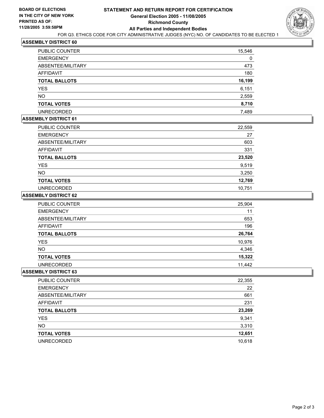

# **ASSEMBLY DISTRICT 60**

| <b>PUBLIC COUNTER</b> | 15,546 |
|-----------------------|--------|
| <b>EMERGENCY</b>      |        |
| ABSENTEE/MILITARY     | 473    |
| <b>AFFIDAVIT</b>      | 180    |
| <b>TOTAL BALLOTS</b>  | 16,199 |
| <b>YES</b>            | 6,151  |
| <b>NO</b>             | 2,559  |
| <b>TOTAL VOTES</b>    | 8,710  |
| <b>UNRECORDED</b>     | 7,489  |

## **ASSEMBLY DISTRICT 61**

| PUBLIC COUNTER       | 22,559 |
|----------------------|--------|
| <b>EMERGENCY</b>     | 27     |
| ABSENTEE/MILITARY    | 603    |
| AFFIDAVIT            | 331    |
| <b>TOTAL BALLOTS</b> | 23,520 |
| <b>YES</b>           | 9,519  |
| <b>NO</b>            | 3,250  |
| <b>TOTAL VOTES</b>   | 12,769 |
| <b>UNRECORDED</b>    | 10,751 |

#### **ASSEMBLY DISTRICT 62**

| <b>PUBLIC COUNTER</b> | 25,904 |
|-----------------------|--------|
| <b>EMERGENCY</b>      | 11     |
| ABSENTEE/MILITARY     | 653    |
| AFFIDAVIT             | 196    |
| <b>TOTAL BALLOTS</b>  | 26,764 |
| <b>YES</b>            | 10,976 |
| <b>NO</b>             | 4,346  |
| <b>TOTAL VOTES</b>    | 15,322 |
| <b>UNRECORDED</b>     | 11,442 |

### **ASSEMBLY DISTRICT 63**

| <b>PUBLIC COUNTER</b> | 22,355 |
|-----------------------|--------|
| <b>EMERGENCY</b>      | 22     |
| ABSENTEE/MILITARY     | 661    |
| AFFIDAVIT             | 231    |
| <b>TOTAL BALLOTS</b>  | 23,269 |
| <b>YES</b>            | 9,341  |
| <b>NO</b>             | 3,310  |
| <b>TOTAL VOTES</b>    | 12,651 |
| <b>UNRECORDED</b>     | 10,618 |
|                       |        |